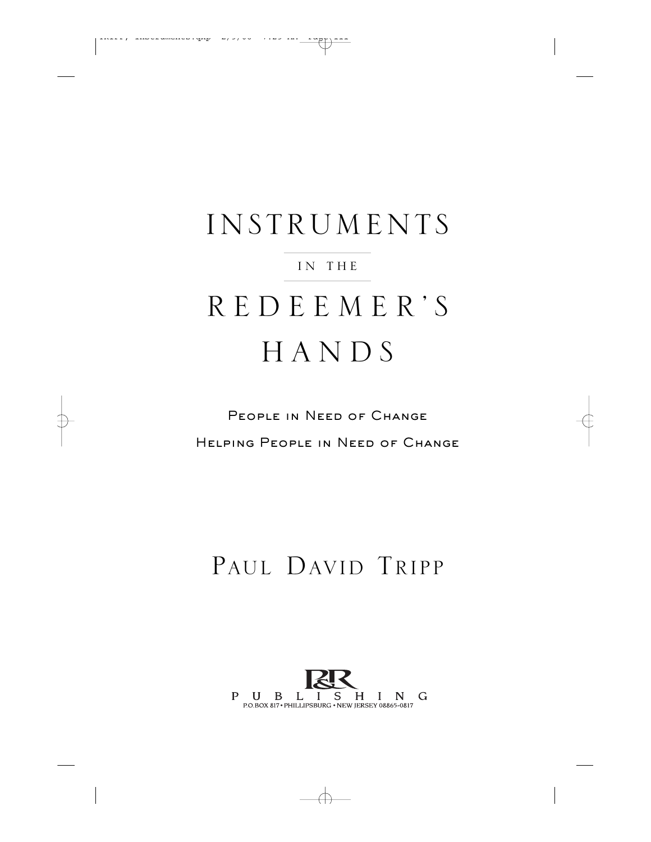# INSTRUMENTS

TRIPP, Instruments.qxp 2/9/06 7:29 AM Page iii

#### IN THE

# REDEEMER'S HANDS

People in Need of Change Helping People in Need of Change

## PAUL DAVID TRIPP

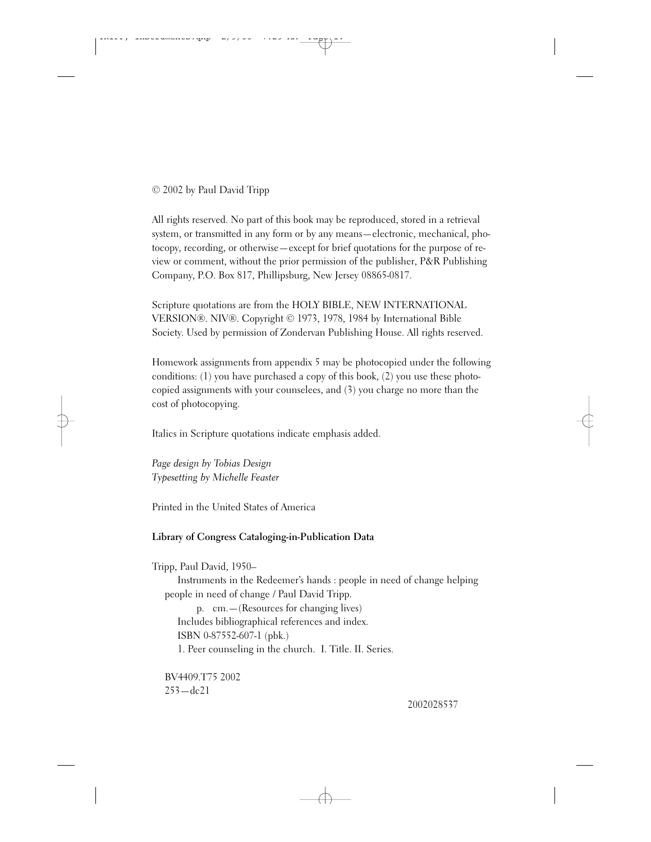© 2002 by Paul David Tripp

TRIPP, THERMING PAGE 2/9/06 7:29 PM Page 1

All rights reserved. No part of this book may be reproduced, stored in a retrieval system, or transmitted in any form or by any means—electronic, mechanical, photocopy, recording, or otherwise—except for brief quotations for the purpose of review or comment, without the prior permission of the publisher, P&R Publishing Company, P.O. Box 817, Phillipsburg, New Jersey 08865-0817.

Scripture quotations are from the HOLY BIBLE, NEW INTERNATIONAL VERSION®. NIV®. Copyright © 1973, 1978, 1984 by International Bible Society. Used by permission of Zondervan Publishing House. All rights reserved.

Homework assignments from appendix 5 may be photocopied under the following conditions: (1) you have purchased a copy of this book, (2) you use these photocopied assignments with your counselees, and (3) you charge no more than the cost of photocopying.

Italics in Scripture quotations indicate emphasis added.

Page design by Tobias Design Typesetting by Michelle Feaster

Printed in the United States of America

#### **Library of Congress Cataloging-in-Publication Data**

Tripp, Paul David, 1950–

Instruments in the Redeemer's hands : people in need of change helping people in need of change / Paul David Tripp. p. cm.—(Resources for changing lives) Includes bibliographical references and index. ISBN 0-87552-607-1 (pbk.) 1. Peer counseling in the church. I. Title. II. Series.

BV4409.T75 2002 253—dc21

2002028537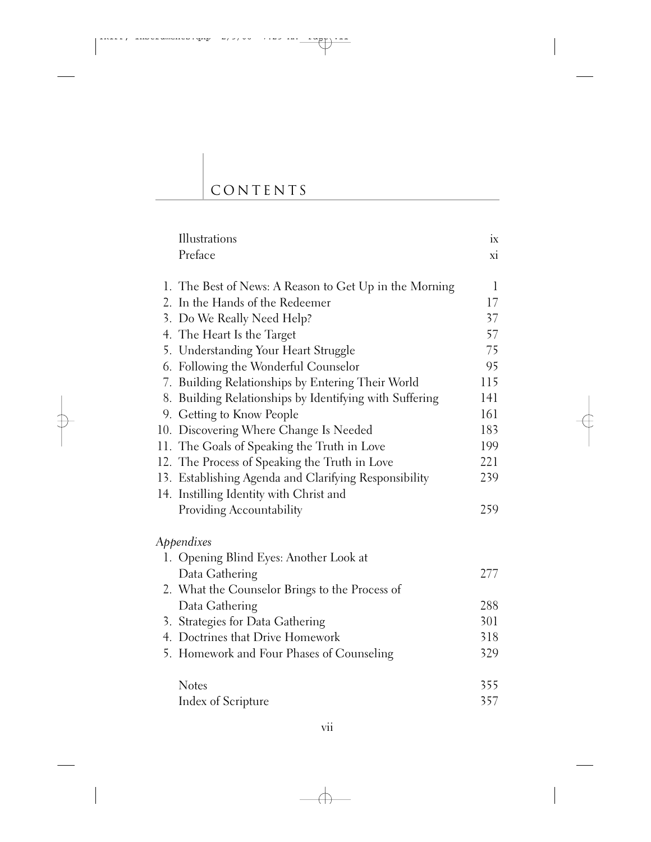### CONTENTS

TRIPP, Instruments.qxp 2/9/06 7:29 AM Page vii

| Illustrations                                           | $\overline{1}X$ |
|---------------------------------------------------------|-----------------|
| Preface                                                 | xi              |
| 1. The Best of News: A Reason to Get Up in the Morning  | 1               |
| 2. In the Hands of the Redeemer                         | 17              |
| 3. Do We Really Need Help?                              | 37              |
| 4. The Heart Is the Target                              | 57              |
| 5. Understanding Your Heart Struggle                    | 75              |
| 6. Following the Wonderful Counselor                    | 95              |
| 7. Building Relationships by Entering Their World       | 115             |
| 8. Building Relationships by Identifying with Suffering | 141             |
| 9. Getting to Know People                               | 161             |
| 10. Discovering Where Change Is Needed                  | 183             |
| 11. The Goals of Speaking the Truth in Love             | 199             |
| 12. The Process of Speaking the Truth in Love           | 221             |
| 13. Establishing Agenda and Clarifying Responsibility   | 239             |
| 14. Instilling Identity with Christ and                 |                 |
| Providing Accountability                                | 259             |
| Appendixes                                              |                 |
| 1. Opening Blind Eyes: Another Look at                  |                 |
| Data Gathering                                          | 277             |
| 2. What the Counselor Brings to the Process of          |                 |
| Data Gathering                                          | 288             |
| 3. Strategies for Data Gathering                        | 301             |
| 4. Doctrines that Drive Homework                        | 318             |
| 5. Homework and Four Phases of Counseling               | 329             |
| <b>Notes</b>                                            | 355             |
| <b>Index of Scripture</b>                               | 357             |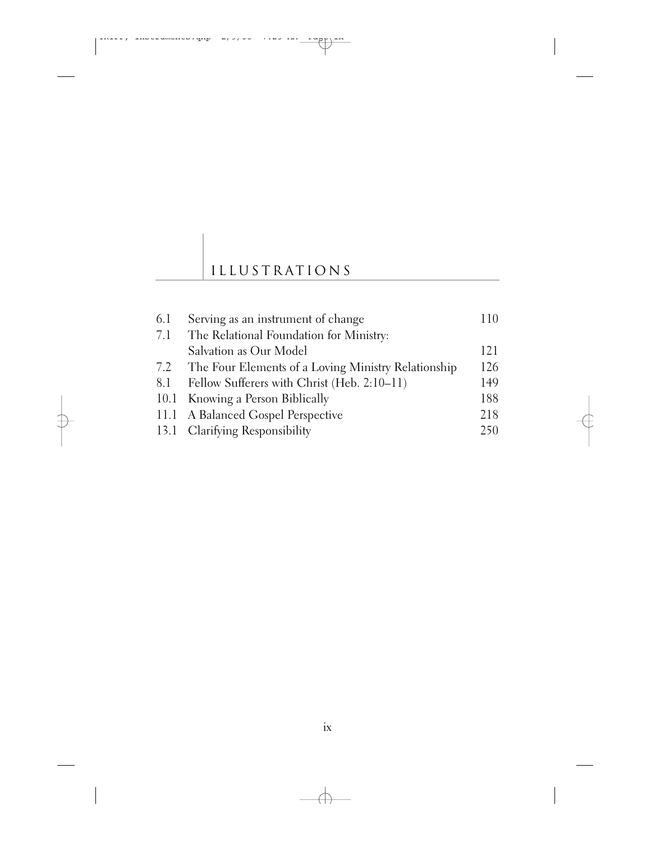### ILLUSTRATIONS

TRIPP, THE CHANGE CAPTER 2/9/06 7:29 THE Page / THE

| 6.1 | Serving as an instrument of change                      | 110 |
|-----|---------------------------------------------------------|-----|
| 7.1 | The Relational Foundation for Ministry:                 |     |
|     | Salvation as Our Model                                  | 121 |
|     | 7.2 The Four Elements of a Loving Ministry Relationship | 126 |
| 8.1 | Fellow Sufferers with Christ (Heb. 2:10–11)             | 149 |
|     | 10.1 Knowing a Person Biblically                        | 188 |
|     | 11.1 A Balanced Gospel Perspective                      | 218 |
|     | 13.1 Clarifying Responsibility                          | 250 |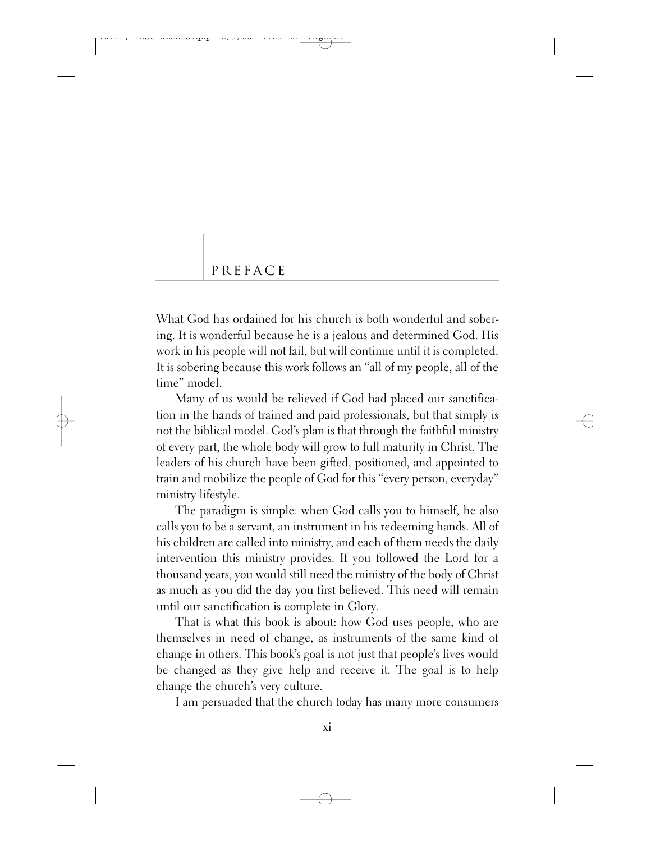#### Preface

TRIPP, THE CHANGE CHANGE 2/9/06 7:29 THE Page Xit

What God has ordained for his church is both wonderful and sobering. It is wonderful because he is a jealous and determined God. His work in his people will not fail, but will continue until it is completed. It is sobering because this work follows an "all of my people, all of the time" model.

Many of us would be relieved if God had placed our sanctification in the hands of trained and paid professionals, but that simply is not the biblical model. God's plan is that through the faithful ministry of every part, the whole body will grow to full maturity in Christ. The leaders of his church have been gifted, positioned, and appointed to train and mobilize the people of God for this "every person, everyday" ministry lifestyle.

The paradigm is simple: when God calls you to himself, he also calls you to be a servant, an instrument in his redeeming hands. All of his children are called into ministry, and each of them needs the daily intervention this ministry provides. If you followed the Lord for a thousand years, you would still need the ministry of the body of Christ as much as you did the day you first believed. This need will remain until our sanctification is complete in Glory.

That is what this book is about: how God uses people, who are themselves in need of change, as instruments of the same kind of change in others. This book's goal is not just that people's lives would be changed as they give help and receive it. The goal is to help change the church's very culture.

I am persuaded that the church today has many more consumers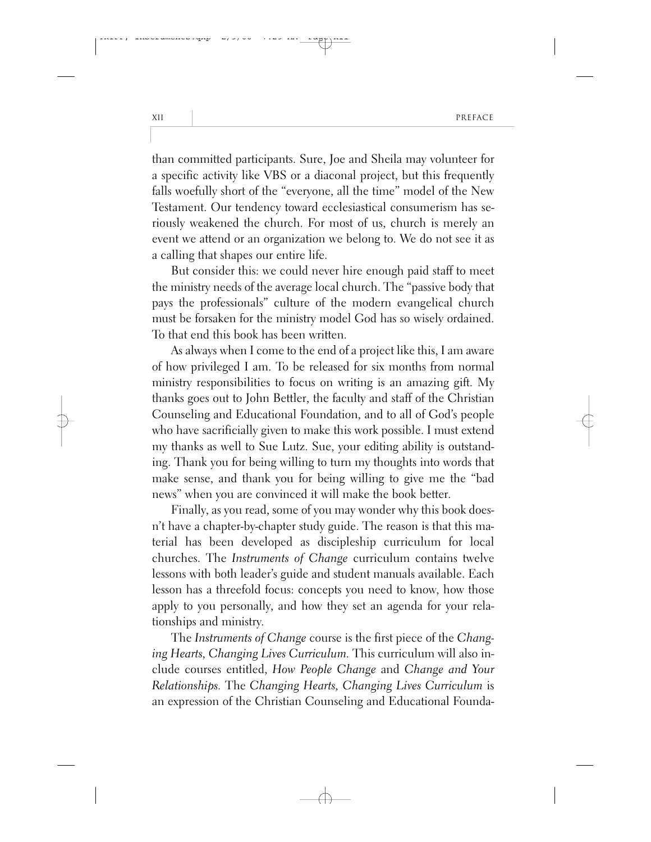than committed participants. Sure, Joe and Sheila may volunteer for a specific activity like VBS or a diaconal project, but this frequently falls woefully short of the "everyone, all the time" model of the New Testament. Our tendency toward ecclesiastical consumerism has seriously weakened the church. For most of us, church is merely an event we attend or an organization we belong to. We do not see it as a calling that shapes our entire life.

But consider this: we could never hire enough paid staff to meet the ministry needs of the average local church. The "passive body that pays the professionals" culture of the modern evangelical church must be forsaken for the ministry model God has so wisely ordained. To that end this book has been written.

As always when I come to the end of a project like this, I am aware of how privileged I am. To be released for six months from normal ministry responsibilities to focus on writing is an amazing gift. My thanks goes out to John Bettler, the faculty and staff of the Christian Counseling and Educational Foundation, and to all of God's people who have sacrificially given to make this work possible. I must extend my thanks as well to Sue Lutz. Sue, your editing ability is outstanding. Thank you for being willing to turn my thoughts into words that make sense, and thank you for being willing to give me the "bad news" when you are convinced it will make the book better.

Finally, as you read, some of you may wonder why this book doesn't have a chapter-by-chapter study guide. The reason is that this material has been developed as discipleship curriculum for local churches. The Instruments of Change curriculum contains twelve lessons with both leader's guide and student manuals available. Each lesson has a threefold focus: concepts you need to know, how those apply to you personally, and how they set an agenda for your relationships and ministry.

The *Instruments of Change* course is the first piece of the *Chang*ing Hearts, Changing Lives Curriculum. This curriculum will also include courses entitled, How People Change and Change and Your Relationships. The Changing Hearts, Changing Lives Curriculum is an expression of the Christian Counseling and Educational Founda-

TRIPP, Instruments.qxp 2/9/06 7:29 AM Page xii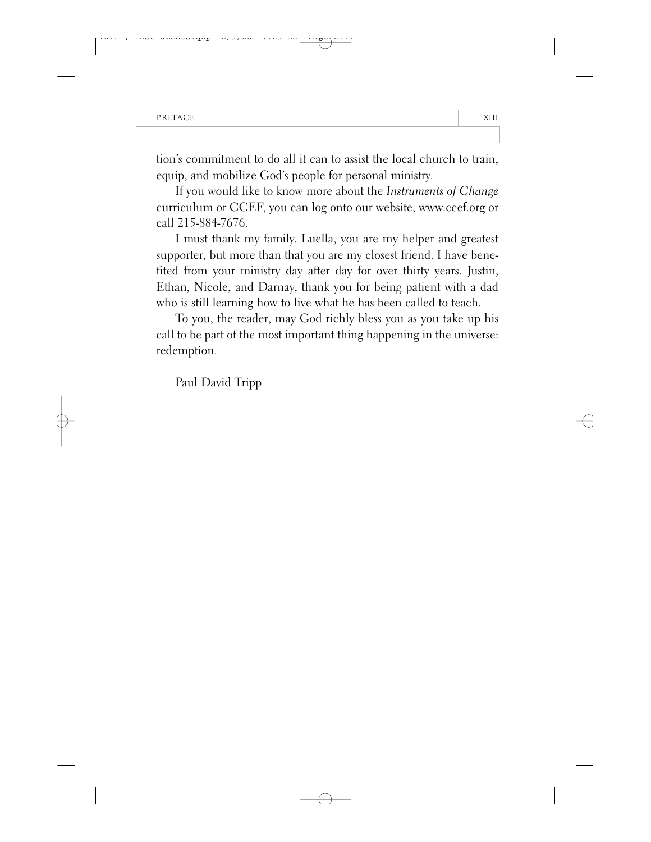TRIPP, Instruments.qxp 2/9/06 7:29 AM Page xiii

tion's commitment to do all it can to assist the local church to train, equip, and mobilize God's people for personal ministry.

If you would like to know more about the Instruments of Change curriculum or CCEF, you can log onto our website, www.ccef.org or call 215-884-7676.

I must thank my family. Luella, you are my helper and greatest supporter, but more than that you are my closest friend. I have benefited from your ministry day after day for over thirty years. Justin, Ethan, Nicole, and Darnay, thank you for being patient with a dad who is still learning how to live what he has been called to teach.

To you, the reader, may God richly bless you as you take up his call to be part of the most important thing happening in the universe: redemption.

Paul David Tripp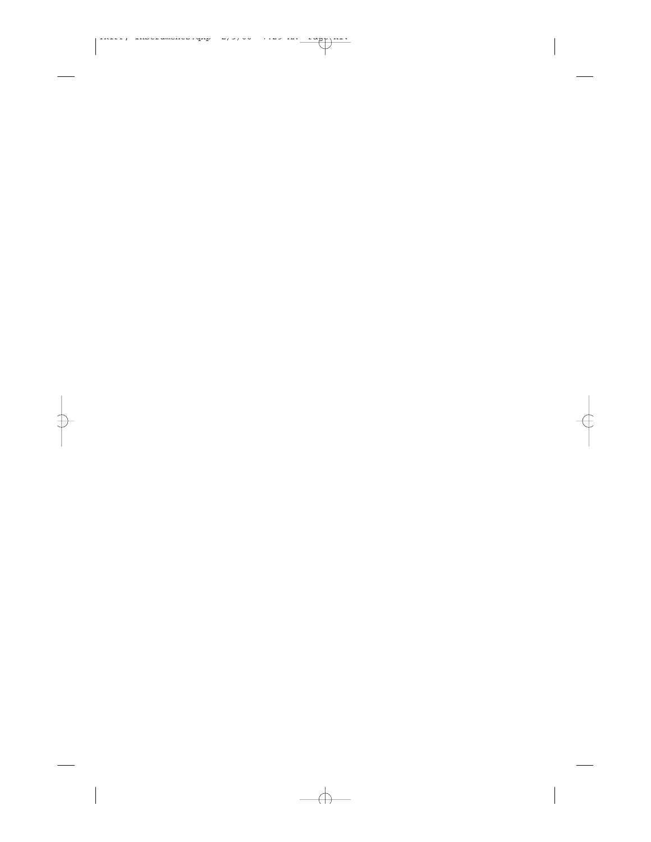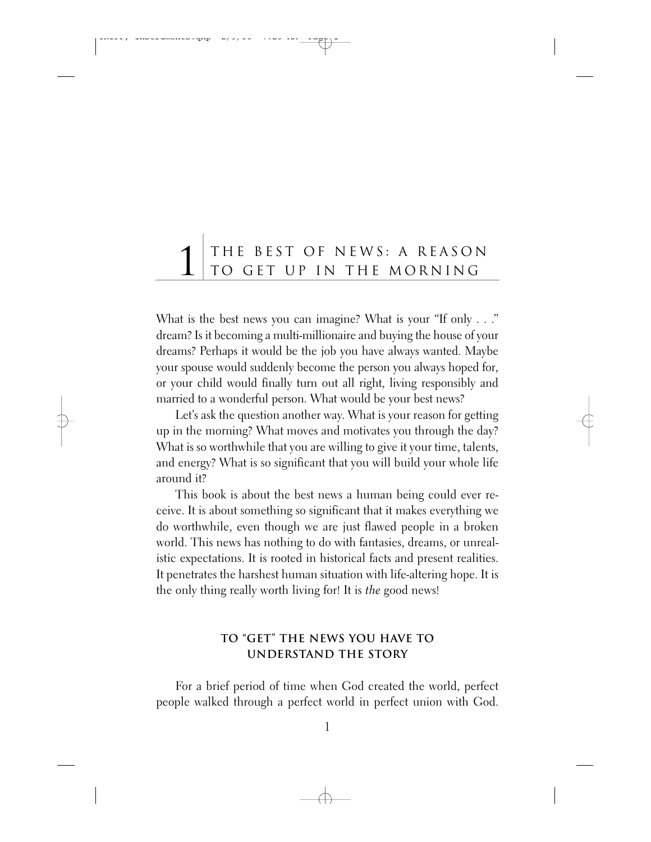#### The Best of News: A Reason to Get Up in the Morning 1

TRIPP, THORMAN PAGE 2/9/06 7:29 AM Page 1

What is the best news you can imagine? What is your "If only . . ." dream? Is it becoming a multi-millionaire and buying the house of your dreams? Perhaps it would be the job you have always wanted. Maybe your spouse would suddenly become the person you always hoped for, or your child would finally turn out all right, living responsibly and married to a wonderful person. What would be your best news?

Let's ask the question another way. What is your reason for getting up in the morning? What moves and motivates you through the day? What is so worthwhile that you are willing to give it your time, talents, and energy? What is so significant that you will build your whole life around it?

This book is about the best news a human being could ever receive. It is about something so significant that it makes everything we do worthwhile, even though we are just flawed people in a broken world. This news has nothing to do with fantasies, dreams, or unrealistic expectations. It is rooted in historical facts and present realities. It penetrates the harshest human situation with life-altering hope. It is the only thing really worth living for! It is the good news!

#### **To "Get" the News You Have to Understand the Story**

For a brief period of time when God created the world, perfect people walked through a perfect world in perfect union with God.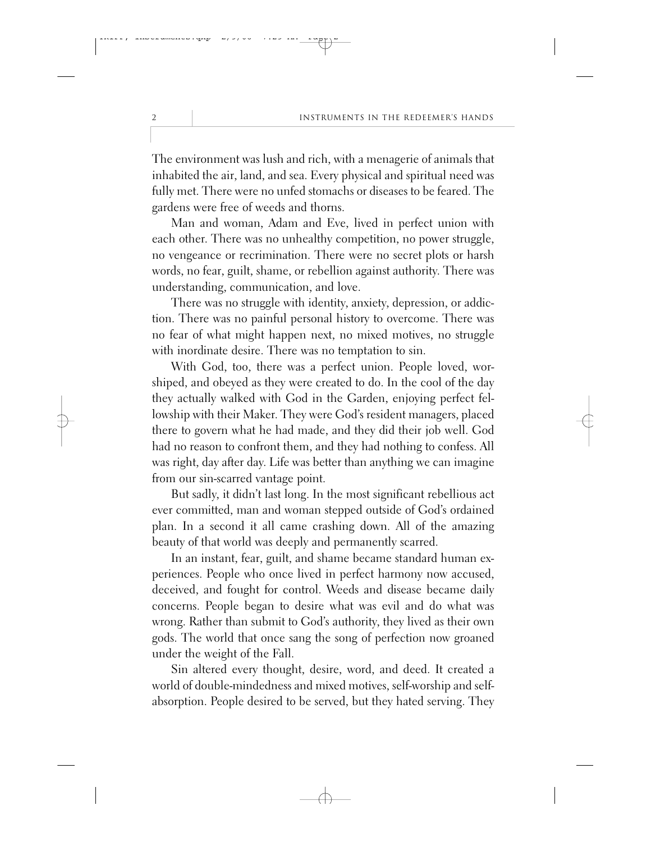The environment was lush and rich, with a menagerie of animals that inhabited the air, land, and sea. Every physical and spiritual need was fully met. There were no unfed stomachs or diseases to be feared. The gardens were free of weeds and thorns.

Man and woman, Adam and Eve, lived in perfect union with each other. There was no unhealthy competition, no power struggle, no vengeance or recrimination. There were no secret plots or harsh words, no fear, guilt, shame, or rebellion against authority. There was understanding, communication, and love.

There was no struggle with identity, anxiety, depression, or addiction. There was no painful personal history to overcome. There was no fear of what might happen next, no mixed motives, no struggle with inordinate desire. There was no temptation to sin.

With God, too, there was a perfect union. People loved, worshiped, and obeyed as they were created to do. In the cool of the day they actually walked with God in the Garden, enjoying perfect fellowship with their Maker. They were God's resident managers, placed there to govern what he had made, and they did their job well. God had no reason to confront them, and they had nothing to confess. All was right, day after day. Life was better than anything we can imagine from our sin-scarred vantage point.

But sadly, it didn't last long. In the most significant rebellious act ever committed, man and woman stepped outside of God's ordained plan. In a second it all came crashing down. All of the amazing beauty of that world was deeply and permanently scarred.

In an instant, fear, guilt, and shame became standard human experiences. People who once lived in perfect harmony now accused, deceived, and fought for control. Weeds and disease became daily concerns. People began to desire what was evil and do what was wrong. Rather than submit to God's authority, they lived as their own gods. The world that once sang the song of perfection now groaned under the weight of the Fall.

Sin altered every thought, desire, word, and deed. It created a world of double-mindedness and mixed motives, self-worship and selfabsorption. People desired to be served, but they hated serving. They

The Reserve Construction of the 2006 7:20 Page 2007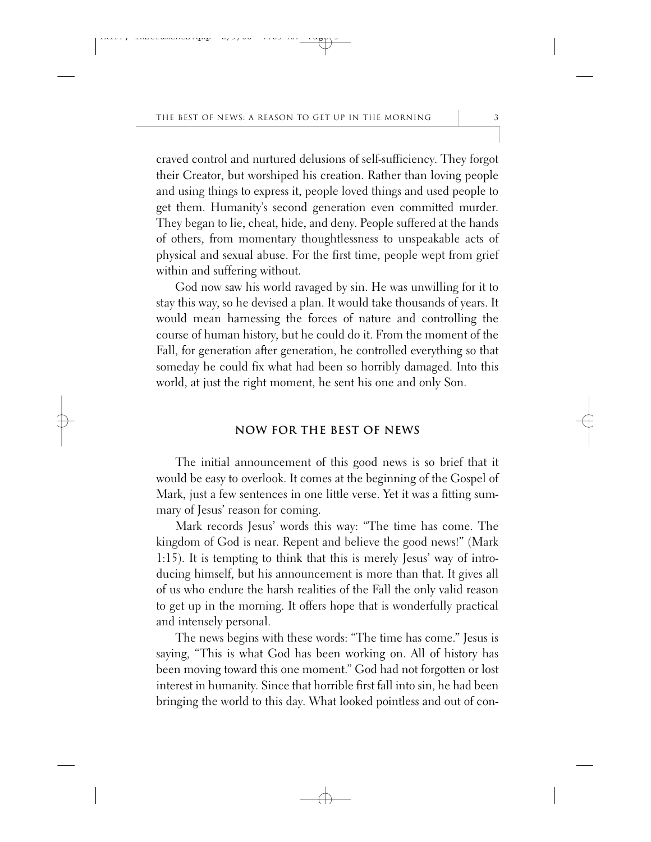TRIPP, THORMAN PAP, 2/9/06 7:29 AM Page 3

craved control and nurtured delusions of self-sufficiency. They forgot their Creator, but worshiped his creation. Rather than loving people and using things to express it, people loved things and used people to get them. Humanity's second generation even committed murder. They began to lie, cheat, hide, and deny. People suffered at the hands of others, from momentary thoughtlessness to unspeakable acts of physical and sexual abuse. For the first time, people wept from grief within and suffering without.

God now saw his world ravaged by sin. He was unwilling for it to stay this way, so he devised a plan. It would take thousands of years. It would mean harnessing the forces of nature and controlling the course of human history, but he could do it. From the moment of the Fall, for generation after generation, he controlled everything so that someday he could fix what had been so horribly damaged. Into this world, at just the right moment, he sent his one and only Son.

#### **Now for the Best of News**

The initial announcement of this good news is so brief that it would be easy to overlook. It comes at the beginning of the Gospel of Mark, just a few sentences in one little verse. Yet it was a fitting summary of Jesus' reason for coming.

Mark records Jesus' words this way: "The time has come. The kingdom of God is near. Repent and believe the good news!" (Mark 1:15). It is tempting to think that this is merely Jesus' way of introducing himself, but his announcement is more than that. It gives all of us who endure the harsh realities of the Fall the only valid reason to get up in the morning. It offers hope that is wonderfully practical and intensely personal.

The news begins with these words: "The time has come." Jesus is saying, "This is what God has been working on. All of history has been moving toward this one moment." God had not forgotten or lost interest in humanity. Since that horrible first fall into sin, he had been bringing the world to this day. What looked pointless and out of con-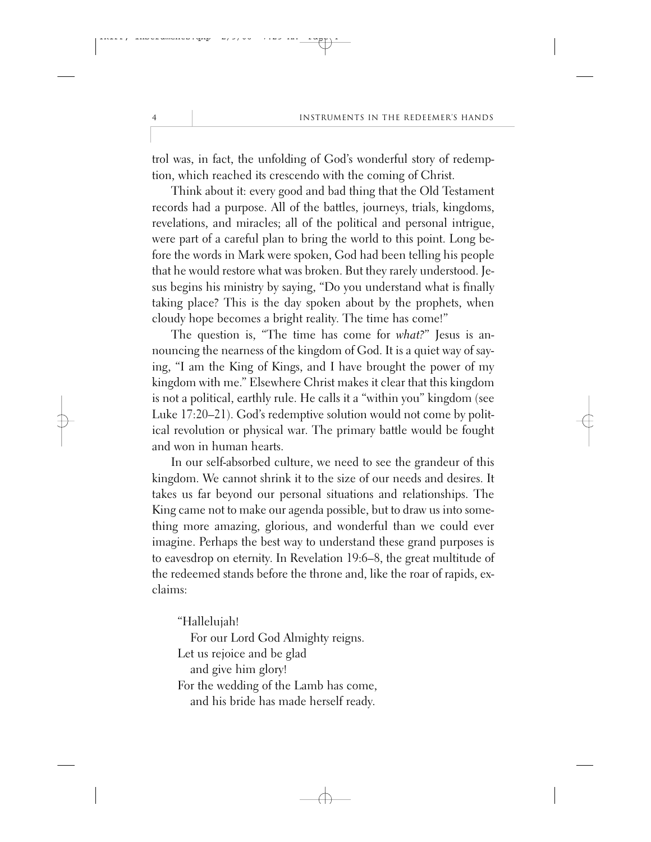trol was, in fact, the unfolding of God's wonderful story of redemption, which reached its crescendo with the coming of Christ.

Think about it: every good and bad thing that the Old Testament records had a purpose. All of the battles, journeys, trials, kingdoms, revelations, and miracles; all of the political and personal intrigue, were part of a careful plan to bring the world to this point. Long before the words in Mark were spoken, God had been telling his people that he would restore what was broken. But they rarely understood. Jesus begins his ministry by saying, "Do you understand what is finally taking place? This is the day spoken about by the prophets, when cloudy hope becomes a bright reality. The time has come!"

The question is, "The time has come for what?" Jesus is announcing the nearness of the kingdom of God. It is a quiet way of saying, "I am the King of Kings, and I have brought the power of my kingdom with me." Elsewhere Christ makes it clear that this kingdom is not a political, earthly rule. He calls it a "within you" kingdom (see Luke 17:20–21). God's redemptive solution would not come by political revolution or physical war. The primary battle would be fought and won in human hearts.

In our self-absorbed culture, we need to see the grandeur of this kingdom. We cannot shrink it to the size of our needs and desires. It takes us far beyond our personal situations and relationships. The King came not to make our agenda possible, but to draw us into something more amazing, glorious, and wonderful than we could ever imagine. Perhaps the best way to understand these grand purposes is to eavesdrop on eternity. In Revelation 19:6–8, the great multitude of the redeemed stands before the throne and, like the roar of rapids, exclaims:

"Hallelujah!

For our Lord God Almighty reigns. Let us rejoice and be glad and give him glory! For the wedding of the Lamb has come, and his bride has made herself ready.

TRIPP, THORMAN PAGE 2/9/06 7:29 AM Page 4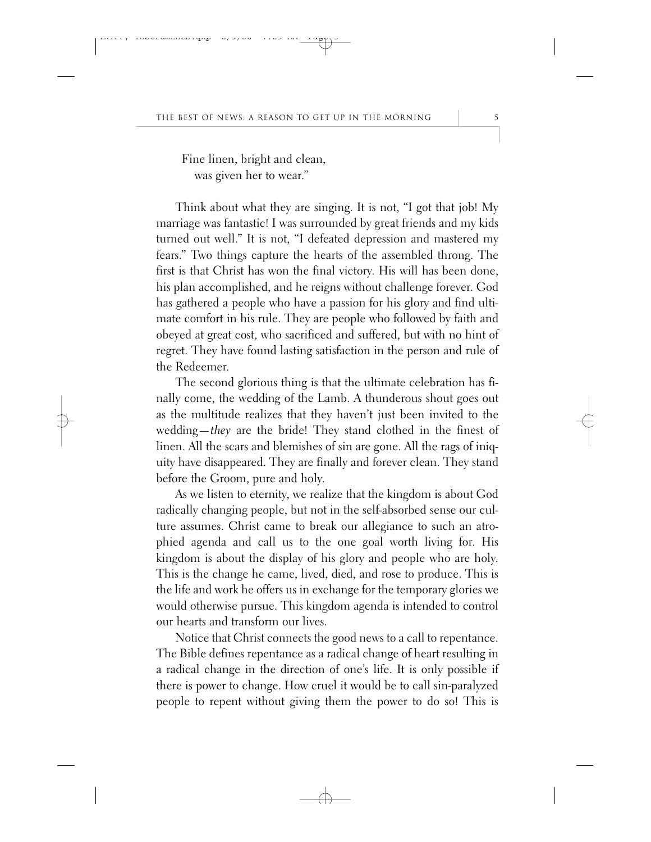#### Fine linen, bright and clean, was given her to wear."

TRIPP, THORMAN PAP, 2/9/06 7:29 AM Page 3

Think about what they are singing. It is not, "I got that job! My marriage was fantastic! I was surrounded by great friends and my kids turned out well." It is not, "I defeated depression and mastered my fears." Two things capture the hearts of the assembled throng. The first is that Christ has won the final victory. His will has been done, his plan accomplished, and he reigns without challenge forever. God has gathered a people who have a passion for his glory and find ultimate comfort in his rule. They are people who followed by faith and obeyed at great cost, who sacrificed and suffered, but with no hint of regret. They have found lasting satisfaction in the person and rule of the Redeemer.

The second glorious thing is that the ultimate celebration has finally come, the wedding of the Lamb. A thunderous shout goes out as the multitude realizes that they haven't just been invited to the wedding—*they* are the bride! They stand clothed in the finest of linen. All the scars and blemishes of sin are gone. All the rags of iniquity have disappeared. They are finally and forever clean. They stand before the Groom, pure and holy.

As we listen to eternity, we realize that the kingdom is about God radically changing people, but not in the self-absorbed sense our culture assumes. Christ came to break our allegiance to such an atrophied agenda and call us to the one goal worth living for. His kingdom is about the display of his glory and people who are holy. This is the change he came, lived, died, and rose to produce. This is the life and work he offers us in exchange for the temporary glories we would otherwise pursue. This kingdom agenda is intended to control our hearts and transform our lives.

Notice that Christ connects the good news to a call to repentance. The Bible defines repentance as a radical change of heart resulting in a radical change in the direction of one's life. It is only possible if there is power to change. How cruel it would be to call sin-paralyzed people to repent without giving them the power to do so! This is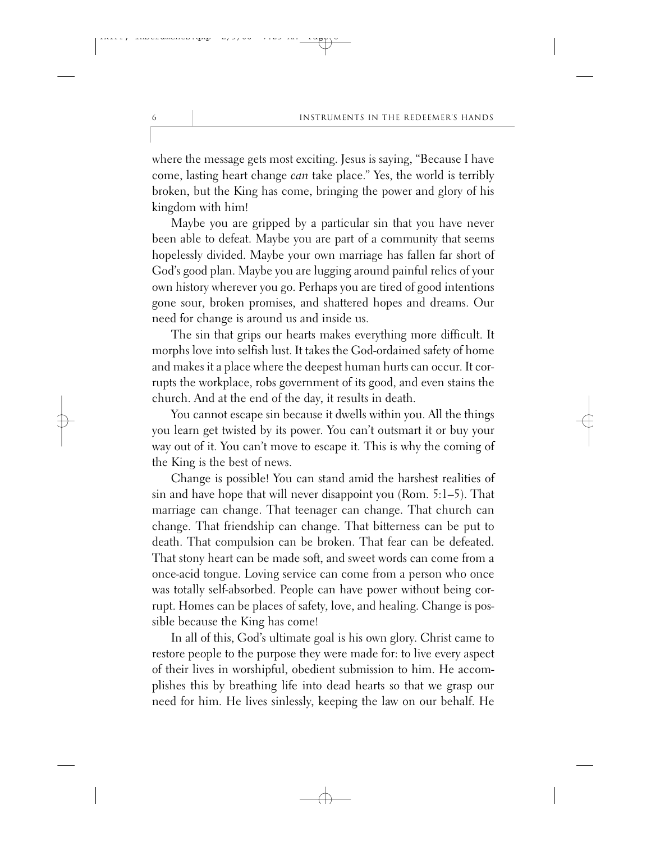where the message gets most exciting. Jesus is saying, "Because I have come, lasting heart change can take place." Yes, the world is terribly broken, but the King has come, bringing the power and glory of his kingdom with him!

Maybe you are gripped by a particular sin that you have never been able to defeat. Maybe you are part of a community that seems hopelessly divided. Maybe your own marriage has fallen far short of God's good plan. Maybe you are lugging around painful relics of your own history wherever you go. Perhaps you are tired of good intentions gone sour, broken promises, and shattered hopes and dreams. Our need for change is around us and inside us.

The sin that grips our hearts makes everything more difficult. It morphs love into selfish lust. It takes the God-ordained safety of home and makes it a place where the deepest human hurts can occur. It corrupts the workplace, robs government of its good, and even stains the church. And at the end of the day, it results in death.

You cannot escape sin because it dwells within you. All the things you learn get twisted by its power. You can't outsmart it or buy your way out of it. You can't move to escape it. This is why the coming of the King is the best of news.

Change is possible! You can stand amid the harshest realities of sin and have hope that will never disappoint you (Rom. 5:1–5). That marriage can change. That teenager can change. That church can change. That friendship can change. That bitterness can be put to death. That compulsion can be broken. That fear can be defeated. That stony heart can be made soft, and sweet words can come from a once-acid tongue. Loving service can come from a person who once was totally self-absorbed. People can have power without being corrupt. Homes can be places of safety, love, and healing. Change is possible because the King has come!

In all of this, God's ultimate goal is his own glory. Christ came to restore people to the purpose they were made for: to live every aspect of their lives in worshipful, obedient submission to him. He accomplishes this by breathing life into dead hearts so that we grasp our need for him. He lives sinlessly, keeping the law on our behalf. He

TRIPP, THOUR MANDS. QAP 2/9/06 7:29 AM Page 6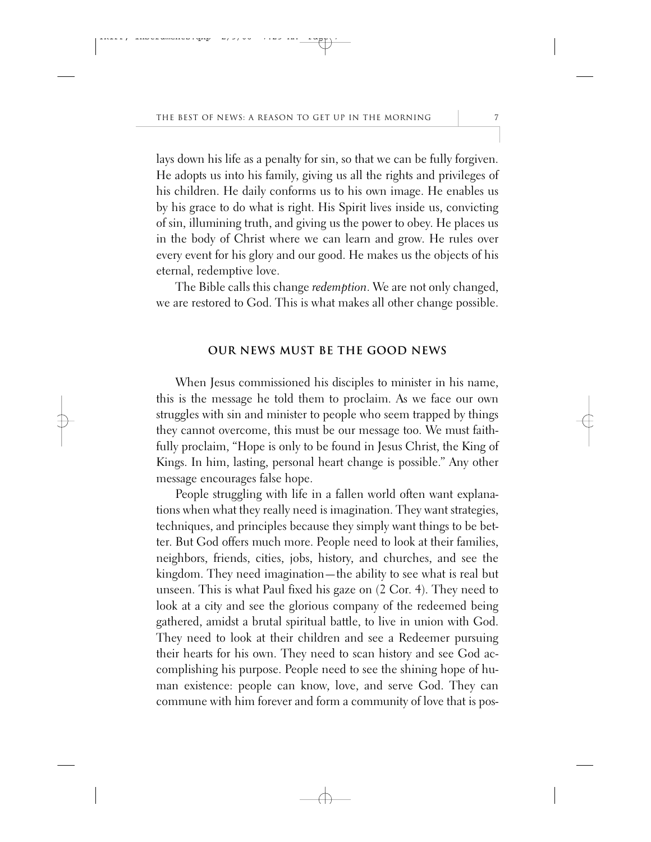TRIPP, THE CONSTRUCTION AND AM PAGE 7:29 THE PAGE 7

lays down his life as a penalty for sin, so that we can be fully forgiven. He adopts us into his family, giving us all the rights and privileges of his children. He daily conforms us to his own image. He enables us by his grace to do what is right. His Spirit lives inside us, convicting of sin, illumining truth, and giving us the power to obey. He places us in the body of Christ where we can learn and grow. He rules over every event for his glory and our good. He makes us the objects of his eternal, redemptive love.

The Bible calls this change redemption. We are not only changed, we are restored to God. This is what makes all other change possible.

#### **Our News Must Be the Good News**

When Jesus commissioned his disciples to minister in his name, this is the message he told them to proclaim. As we face our own struggles with sin and minister to people who seem trapped by things they cannot overcome, this must be our message too. We must faithfully proclaim, "Hope is only to be found in Jesus Christ, the King of Kings. In him, lasting, personal heart change is possible." Any other message encourages false hope.

People struggling with life in a fallen world often want explanations when what they really need is imagination. They want strategies, techniques, and principles because they simply want things to be better. But God offers much more. People need to look at their families, neighbors, friends, cities, jobs, history, and churches, and see the kingdom. They need imagination—the ability to see what is real but unseen. This is what Paul fixed his gaze on (2 Cor. 4). They need to look at a city and see the glorious company of the redeemed being gathered, amidst a brutal spiritual battle, to live in union with God. They need to look at their children and see a Redeemer pursuing their hearts for his own. They need to scan history and see God accomplishing his purpose. People need to see the shining hope of human existence: people can know, love, and serve God. They can commune with him forever and form a community of love that is pos-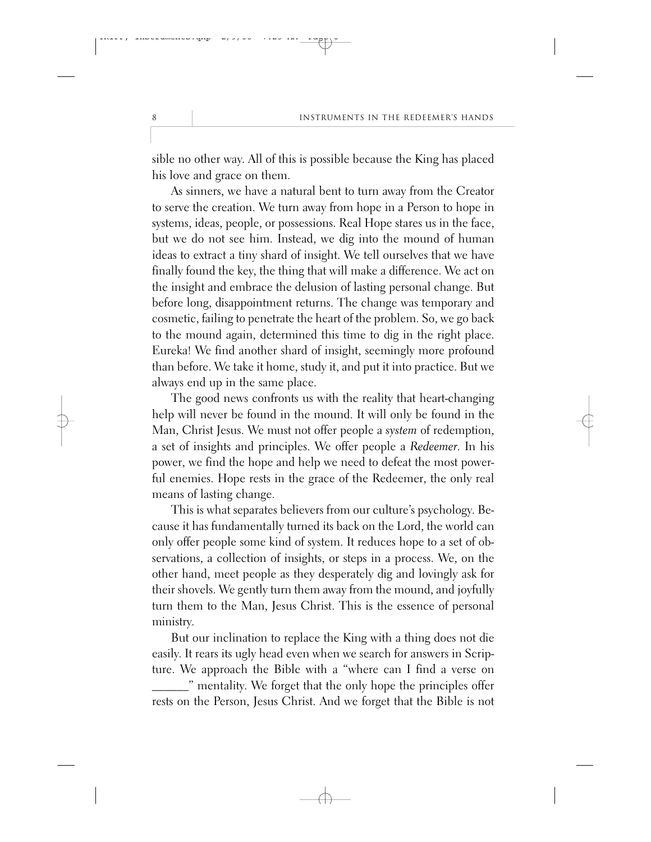sible no other way. All of this is possible because the King has placed his love and grace on them.

As sinners, we have a natural bent to turn away from the Creator to serve the creation. We turn away from hope in a Person to hope in systems, ideas, people, or possessions. Real Hope stares us in the face, but we do not see him. Instead, we dig into the mound of human ideas to extract a tiny shard of insight. We tell ourselves that we have finally found the key, the thing that will make a difference. We act on the insight and embrace the delusion of lasting personal change. But before long, disappointment returns. The change was temporary and cosmetic, failing to penetrate the heart of the problem. So, we go back to the mound again, determined this time to dig in the right place. Eureka! We find another shard of insight, seemingly more profound than before. We take it home, study it, and put it into practice. But we always end up in the same place.

The good news confronts us with the reality that heart-changing help will never be found in the mound. It will only be found in the Man, Christ Jesus. We must not offer people a system of redemption, a set of insights and principles. We offer people a Redeemer. In his power, we find the hope and help we need to defeat the most powerful enemies. Hope rests in the grace of the Redeemer, the only real means of lasting change.

This is what separates believers from our culture's psychology. Because it has fundamentally turned its back on the Lord, the world can only offer people some kind of system. It reduces hope to a set of observations, a collection of insights, or steps in a process. We, on the other hand, meet people as they desperately dig and lovingly ask for their shovels. We gently turn them away from the mound, and joyfully turn them to the Man, Jesus Christ. This is the essence of personal ministry.

But our inclination to replace the King with a thing does not die easily. It rears its ugly head even when we search for answers in Scripture. We approach the Bible with a "where can I find a verse on \_\_\_\_\_\_" mentality. We forget that the only hope the principles offer rests on the Person, Jesus Christ. And we forget that the Bible is not

TRIPP, THOUR MANDS. QAP 2/9/06 7:29 AM Page 8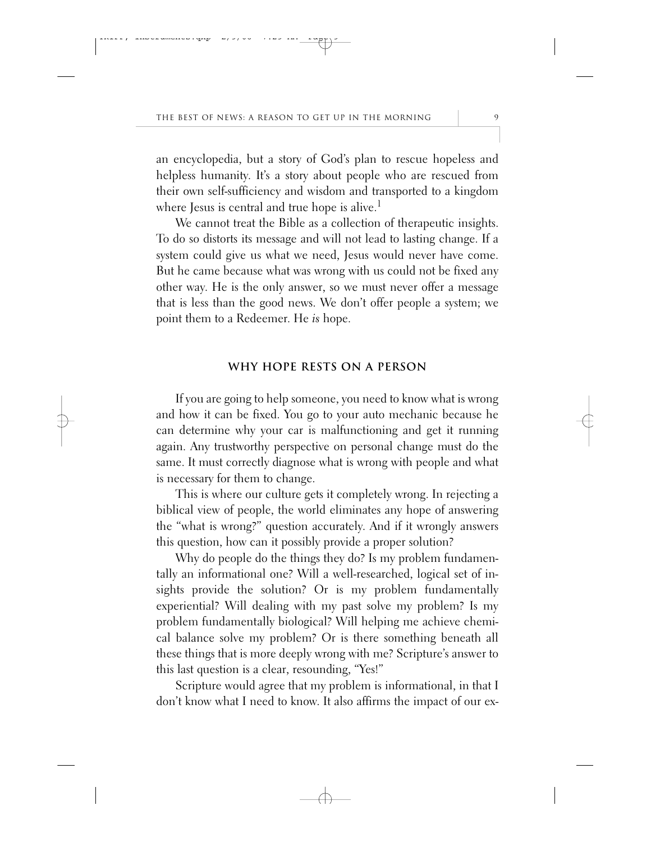TRIPP, THORMAN PAGE 2/9/06 7:29 AM Page 9

an encyclopedia, but a story of God's plan to rescue hopeless and helpless humanity. It's a story about people who are rescued from their own self-sufficiency and wisdom and transported to a kingdom where Jesus is central and true hope is alive.<sup>1</sup>

We cannot treat the Bible as a collection of therapeutic insights. To do so distorts its message and will not lead to lasting change. If a system could give us what we need, Jesus would never have come. But he came because what was wrong with us could not be fixed any other way. He is the only answer, so we must never offer a message that is less than the good news. We don't offer people a system; we point them to a Redeemer. He is hope.

#### **Why Hope Rests on a Person**

If you are going to help someone, you need to know what is wrong and how it can be fixed. You go to your auto mechanic because he can determine why your car is malfunctioning and get it running again. Any trustworthy perspective on personal change must do the same. It must correctly diagnose what is wrong with people and what is necessary for them to change.

This is where our culture gets it completely wrong. In rejecting a biblical view of people, the world eliminates any hope of answering the "what is wrong?" question accurately. And if it wrongly answers this question, how can it possibly provide a proper solution?

Why do people do the things they do? Is my problem fundamentally an informational one? Will a well-researched, logical set of insights provide the solution? Or is my problem fundamentally experiential? Will dealing with my past solve my problem? Is my problem fundamentally biological? Will helping me achieve chemical balance solve my problem? Or is there something beneath all these things that is more deeply wrong with me? Scripture's answer to this last question is a clear, resounding, "Yes!"

Scripture would agree that my problem is informational, in that I don't know what I need to know. It also affirms the impact of our ex-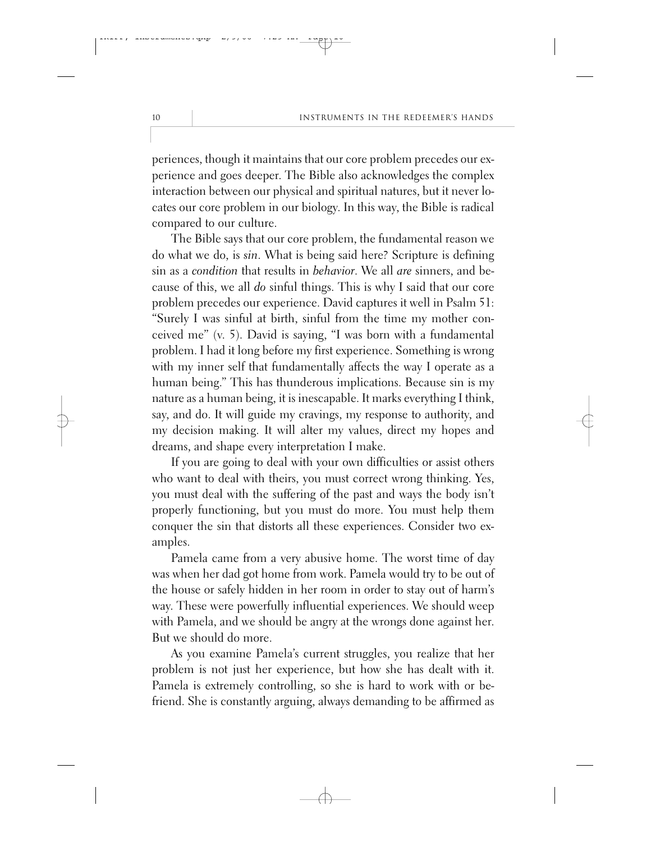periences, though it maintains that our core problem precedes our experience and goes deeper. The Bible also acknowledges the complex interaction between our physical and spiritual natures, but it never locates our core problem in our biology. In this way, the Bible is radical compared to our culture.

The Bible says that our core problem, the fundamental reason we do what we do, is sin. What is being said here? Scripture is defining sin as a condition that results in behavior. We all are sinners, and because of this, we all do sinful things. This is why I said that our core problem precedes our experience. David captures it well in Psalm 51: "Surely I was sinful at birth, sinful from the time my mother conceived me" (v. 5). David is saying, "I was born with a fundamental problem. I had it long before my first experience. Something is wrong with my inner self that fundamentally affects the way I operate as a human being." This has thunderous implications. Because sin is my nature as a human being, it is inescapable. It marks everything I think, say, and do. It will guide my cravings, my response to authority, and my decision making. It will alter my values, direct my hopes and dreams, and shape every interpretation I make.

If you are going to deal with your own difficulties or assist others who want to deal with theirs, you must correct wrong thinking. Yes, you must deal with the suffering of the past and ways the body isn't properly functioning, but you must do more. You must help them conquer the sin that distorts all these experiences. Consider two examples.

Pamela came from a very abusive home. The worst time of day was when her dad got home from work. Pamela would try to be out of the house or safely hidden in her room in order to stay out of harm's way. These were powerfully influential experiences. We should weep with Pamela, and we should be angry at the wrongs done against her. But we should do more.

As you examine Pamela's current struggles, you realize that her problem is not just her experience, but how she has dealt with it. Pamela is extremely controlling, so she is hard to work with or befriend. She is constantly arguing, always demanding to be affirmed as

TRIPP, THE CHANGE CAPTER 2/9/06 7:29 THE PAGE 11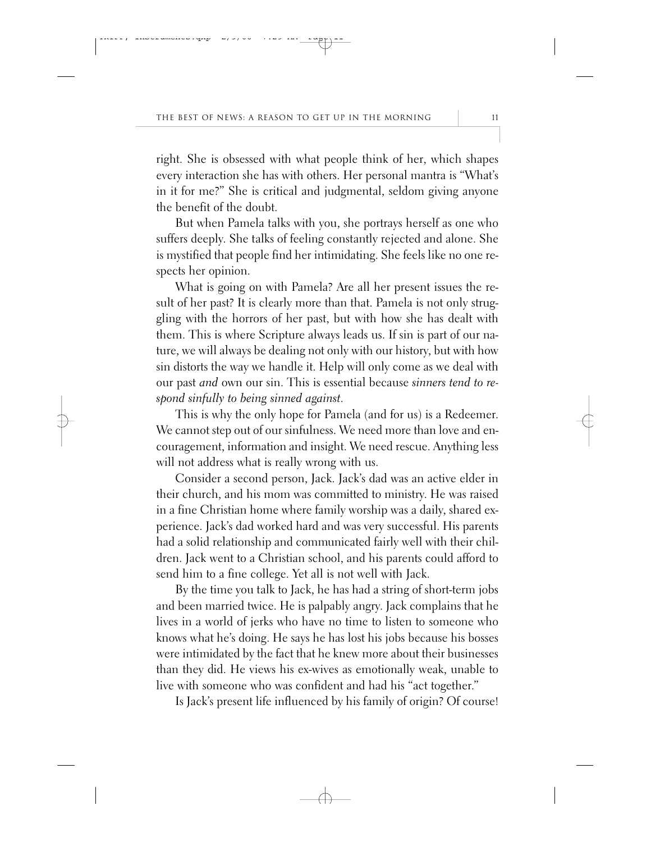TRIPP, THERMINICHT AND PROVIDE THE LABE 11

right. She is obsessed with what people think of her, which shapes every interaction she has with others. Her personal mantra is "What's in it for me?" She is critical and judgmental, seldom giving anyone the benefit of the doubt.

But when Pamela talks with you, she portrays herself as one who suffers deeply. She talks of feeling constantly rejected and alone. She is mystified that people find her intimidating. She feels like no one respects her opinion.

What is going on with Pamela? Are all her present issues the result of her past? It is clearly more than that. Pamela is not only struggling with the horrors of her past, but with how she has dealt with them. This is where Scripture always leads us. If sin is part of our nature, we will always be dealing not only with our history, but with how sin distorts the way we handle it. Help will only come as we deal with our past *and* own our sin. This is essential because *sinners tend to re*spond sinfully to being sinned against.

This is why the only hope for Pamela (and for us) is a Redeemer. We cannot step out of our sinfulness. We need more than love and encouragement, information and insight. We need rescue. Anything less will not address what is really wrong with us.

Consider a second person, Jack. Jack's dad was an active elder in their church, and his mom was committed to ministry. He was raised in a fine Christian home where family worship was a daily, shared experience. Jack's dad worked hard and was very successful. His parents had a solid relationship and communicated fairly well with their children. Jack went to a Christian school, and his parents could afford to send him to a fine college. Yet all is not well with Jack.

By the time you talk to Jack, he has had a string of short-term jobs and been married twice. He is palpably angry. Jack complains that he lives in a world of jerks who have no time to listen to someone who knows what he's doing. He says he has lost his jobs because his bosses were intimidated by the fact that he knew more about their businesses than they did. He views his ex-wives as emotionally weak, unable to live with someone who was confident and had his "act together."

Is Jack's present life influenced by his family of origin? Of course!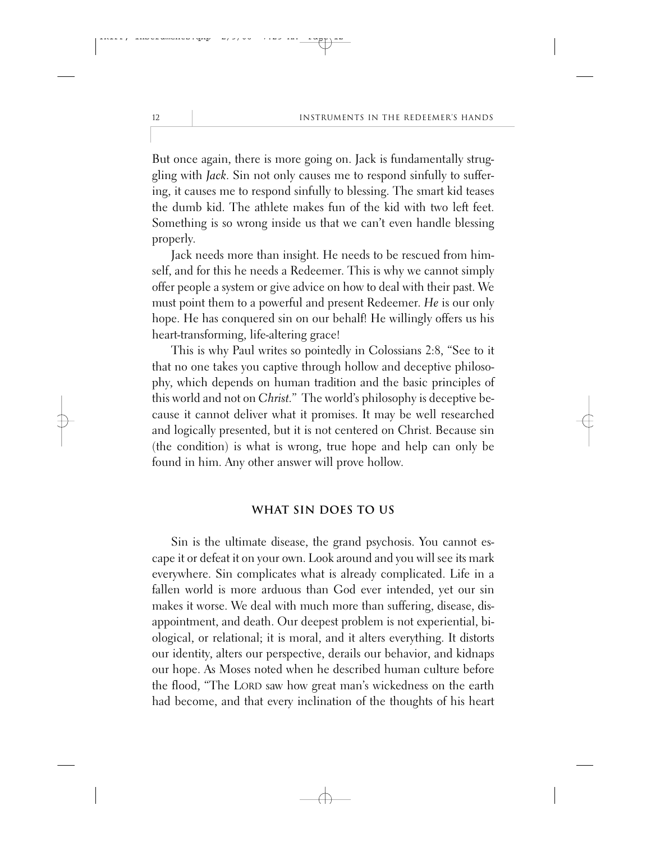But once again, there is more going on. Jack is fundamentally struggling with *Jack*. Sin not only causes me to respond sinfully to suffering, it causes me to respond sinfully to blessing. The smart kid teases the dumb kid. The athlete makes fun of the kid with two left feet. Something is so wrong inside us that we can't even handle blessing properly.

Jack needs more than insight. He needs to be rescued from himself, and for this he needs a Redeemer. This is why we cannot simply offer people a system or give advice on how to deal with their past. We must point them to a powerful and present Redeemer. He is our only hope. He has conquered sin on our behalf! He willingly offers us his heart-transforming, life-altering grace!

This is why Paul writes so pointedly in Colossians 2:8, "See to it that no one takes you captive through hollow and deceptive philosophy, which depends on human tradition and the basic principles of this world and not on Christ." The world's philosophy is deceptive because it cannot deliver what it promises. It may be well researched and logically presented, but it is not centered on Christ. Because sin (the condition) is what is wrong, true hope and help can only be found in him. Any other answer will prove hollow.

#### **What Sin Does to Us**

Sin is the ultimate disease, the grand psychosis. You cannot escape it or defeat it on your own. Look around and you will see its mark everywhere. Sin complicates what is already complicated. Life in a fallen world is more arduous than God ever intended, yet our sin makes it worse. We deal with much more than suffering, disease, disappointment, and death. Our deepest problem is not experiential, biological, or relational; it is moral, and it alters everything. It distorts our identity, alters our perspective, derails our behavior, and kidnaps our hope. As Moses noted when he described human culture before the flood, "The LORD saw how great man's wickedness on the earth had become, and that every inclination of the thoughts of his heart

TRIPP, THE CHANGE CAPTER 2/9/06 7:29 THE Page 12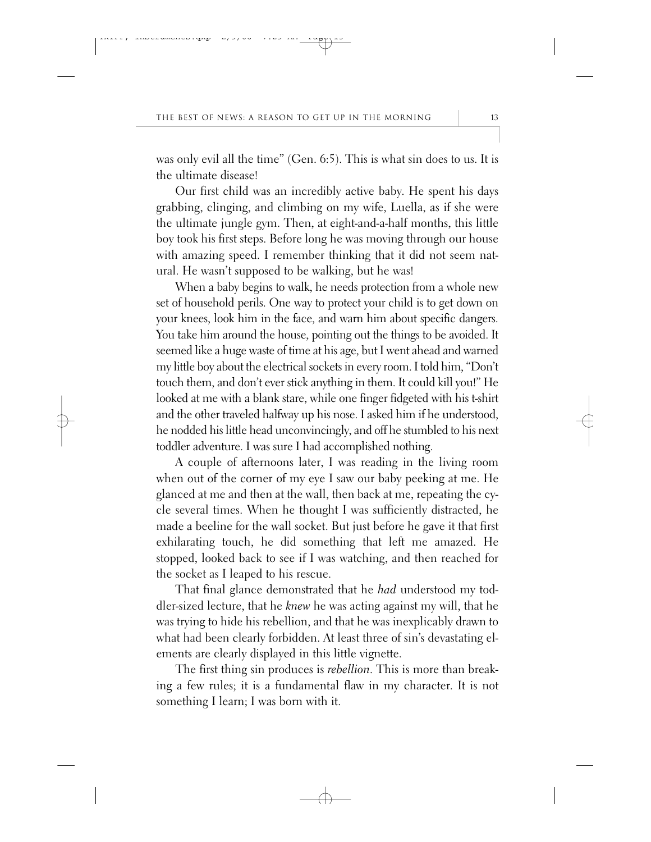TRIPP, THE CHANGE CAPTER 2/9/06 7:29 THE PAGE 13

was only evil all the time" (Gen. 6:5). This is what sin does to us. It is the ultimate disease!

Our first child was an incredibly active baby. He spent his days grabbing, clinging, and climbing on my wife, Luella, as if she were the ultimate jungle gym. Then, at eight-and-a-half months, this little boy took his first steps. Before long he was moving through our house with amazing speed. I remember thinking that it did not seem natural. He wasn't supposed to be walking, but he was!

When a baby begins to walk, he needs protection from a whole new set of household perils. One way to protect your child is to get down on your knees, look him in the face, and warn him about specific dangers. You take him around the house, pointing out the things to be avoided. It seemed like a huge waste of time at his age, but I went ahead and warned my little boy about the electrical sockets in every room. I told him, "Don't touch them, and don't ever stick anything in them. It could kill you!" He looked at me with a blank stare, while one finger fidgeted with his t-shirt and the other traveled halfway up his nose. I asked him if he understood, he nodded his little head unconvincingly, and off he stumbled to his next toddler adventure. I was sure I had accomplished nothing.

A couple of afternoons later, I was reading in the living room when out of the corner of my eye I saw our baby peeking at me. He glanced at me and then at the wall, then back at me, repeating the cycle several times. When he thought I was sufficiently distracted, he made a beeline for the wall socket. But just before he gave it that first exhilarating touch, he did something that left me amazed. He stopped, looked back to see if I was watching, and then reached for the socket as I leaped to his rescue.

That final glance demonstrated that he *had* understood my toddler-sized lecture, that he knew he was acting against my will, that he was trying to hide his rebellion, and that he was inexplicably drawn to what had been clearly forbidden. At least three of sin's devastating elements are clearly displayed in this little vignette.

The first thing sin produces is *rebellion*. This is more than breaking a few rules; it is a fundamental flaw in my character. It is not something I learn; I was born with it.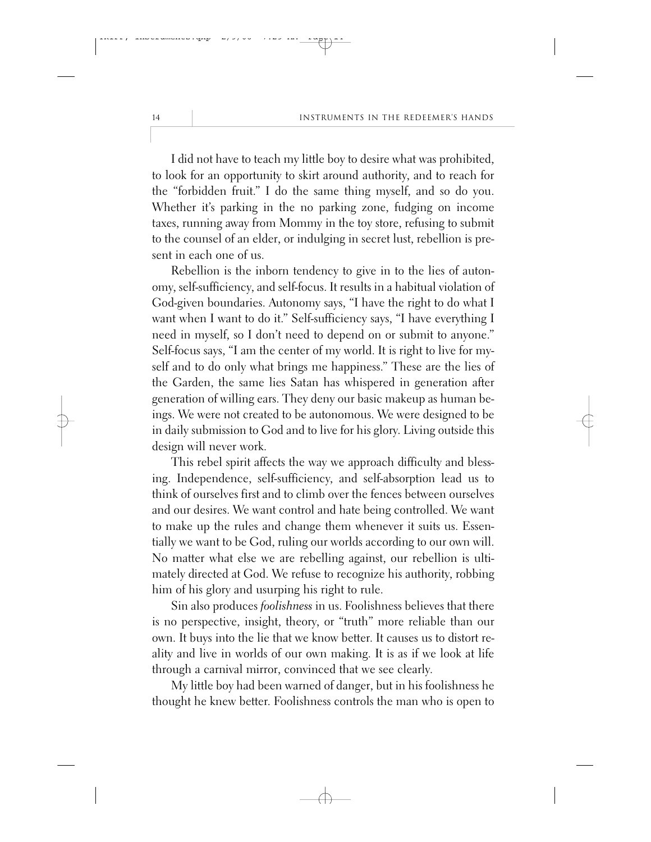I did not have to teach my little boy to desire what was prohibited, to look for an opportunity to skirt around authority, and to reach for the "forbidden fruit." I do the same thing myself, and so do you. Whether it's parking in the no parking zone, fudging on income taxes, running away from Mommy in the toy store, refusing to submit to the counsel of an elder, or indulging in secret lust, rebellion is present in each one of us.

Rebellion is the inborn tendency to give in to the lies of autonomy, self-sufficiency, and self-focus. It results in a habitual violation of God-given boundaries. Autonomy says, "I have the right to do what I want when I want to do it." Self-sufficiency says, "I have everything I need in myself, so I don't need to depend on or submit to anyone." Self-focus says, "I am the center of my world. It is right to live for myself and to do only what brings me happiness." These are the lies of the Garden, the same lies Satan has whispered in generation after generation of willing ears. They deny our basic makeup as human beings. We were not created to be autonomous. We were designed to be in daily submission to God and to live for his glory. Living outside this design will never work.

This rebel spirit affects the way we approach difficulty and blessing. Independence, self-sufficiency, and self-absorption lead us to think of ourselves first and to climb over the fences between ourselves and our desires. We want control and hate being controlled. We want to make up the rules and change them whenever it suits us. Essentially we want to be God, ruling our worlds according to our own will. No matter what else we are rebelling against, our rebellion is ultimately directed at God. We refuse to recognize his authority, robbing him of his glory and usurping his right to rule.

Sin also produces foolishness in us. Foolishness believes that there is no perspective, insight, theory, or "truth" more reliable than our own. It buys into the lie that we know better. It causes us to distort reality and live in worlds of our own making. It is as if we look at life through a carnival mirror, convinced that we see clearly.

My little boy had been warned of danger, but in his foolishness he thought he knew better. Foolishness controls the man who is open to

TRIPP, THE CHANGE CHANGE 2/9/06 7:29 THE PAGE 14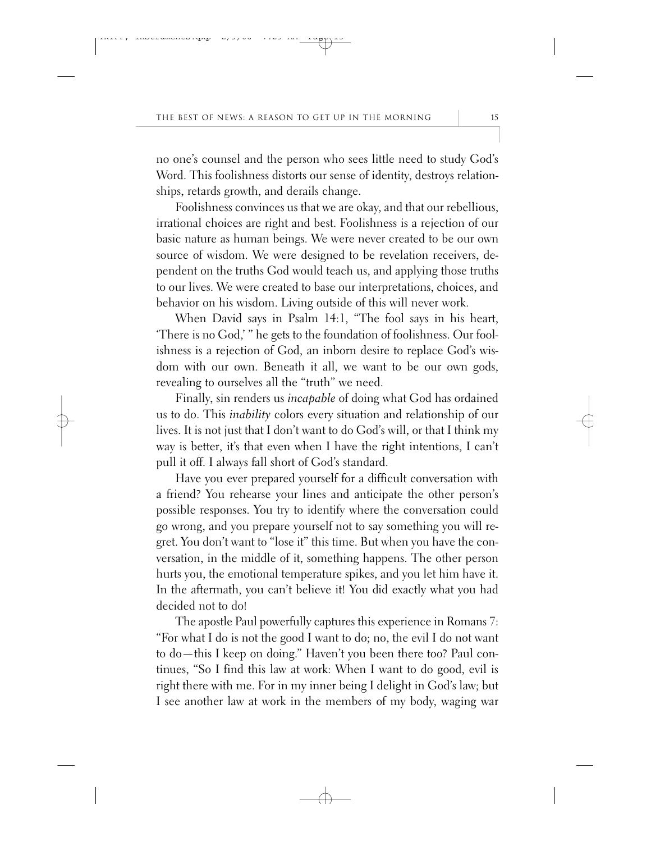TRIPP, THE CHANGE CAPTER 2/9/06 7:29 THE PAGE 15

no one's counsel and the person who sees little need to study God's Word. This foolishness distorts our sense of identity, destroys relationships, retards growth, and derails change.

Foolishness convinces us that we are okay, and that our rebellious, irrational choices are right and best. Foolishness is a rejection of our basic nature as human beings. We were never created to be our own source of wisdom. We were designed to be revelation receivers, dependent on the truths God would teach us, and applying those truths to our lives. We were created to base our interpretations, choices, and behavior on his wisdom. Living outside of this will never work.

When David says in Psalm 14:1, "The fool says in his heart, 'There is no God,' " he gets to the foundation of foolishness. Our foolishness is a rejection of God, an inborn desire to replace God's wisdom with our own. Beneath it all, we want to be our own gods, revealing to ourselves all the "truth" we need.

Finally, sin renders us incapable of doing what God has ordained us to do. This *inability* colors every situation and relationship of our lives. It is not just that I don't want to do God's will, or that I think my way is better, it's that even when I have the right intentions, I can't pull it off. I always fall short of God's standard.

Have you ever prepared yourself for a difficult conversation with a friend? You rehearse your lines and anticipate the other person's possible responses. You try to identify where the conversation could go wrong, and you prepare yourself not to say something you will regret. You don't want to "lose it" this time. But when you have the conversation, in the middle of it, something happens. The other person hurts you, the emotional temperature spikes, and you let him have it. In the aftermath, you can't believe it! You did exactly what you had decided not to do!

The apostle Paul powerfully captures this experience in Romans 7: "For what I do is not the good I want to do; no, the evil I do not want to do—this I keep on doing." Haven't you been there too? Paul continues, "So I find this law at work: When I want to do good, evil is right there with me. For in my inner being I delight in God's law; but I see another law at work in the members of my body, waging war